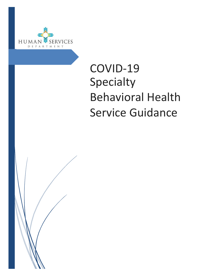

# COVID-19 Specialty Behavioral Health Service Guidance

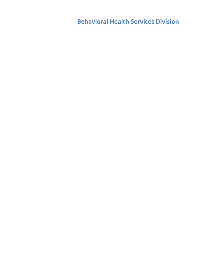**Behavioral Health Services Division**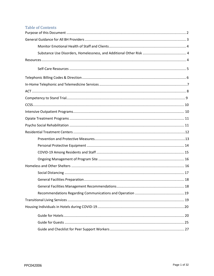# **Table of Contents**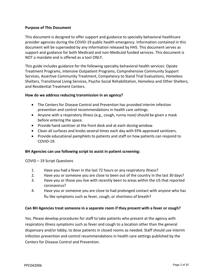# <span id="page-3-0"></span>**Purpose of This Document**

This document is designed to offer support and guidance to specialty behavioral healthcare provider agencies during the COVID-19 public health emergency. Information contained in this document will be superseded by any information released by HHS. This document serves as support and guidance for both Medicaid and non-Medicaid funded services. This document is NOT a mandate and is offered as a tool ONLY.

This guide includes guidance for the following specialty behavioral health services: Opiate Treatment Programs, Intensive Outpatient Programs, Comprehensive Community Support Services, Assertive Community Treatment, Competency to Stand Trial Evaluations, Homeless Shelters, Transitional Living Services, Psycho Social Rehabilitation, Homeless and Other Shelters, and Residential Treatment Centers.

#### **How do we address reducing transmission in an agency?**

- The Centers for Disease Control and Prevention has provided interim infection prevention and control recommendations in health care settings.
- Anyone with a respiratory illness (e.g., cough, runny nose) should be given a mask before entering the space.
- Provide hand sanitizer at the front desk and at each dosing window.
- Clean all surfaces and knobs several times each day with EPA-approved sanitizers.
- Provide educational pamphlets to patients and staff on how patients can respond to COVID-19.

#### **BH Agencies can use following script to assist in patient screening:**

#### COVID – 19 Script Questions

- 1. Have you had a fever in the last 72 hours or any respiratory illness?
- 2. Have you or someone you are close to been out of the country in the last 30 days?
- 3. Have you or those you live with recently been to areas within the US that reported coronavirus?
- 4. Have you or someone you are close to had prolonged contact with anyone who has flu like symptoms such as fever, cough, or shortness of breath?

#### **Can BH Agencies treat someone in a separate room if they present with a fever or cough?**

Yes. Please develop procedures for staff to take patients who present at the agency with respiratory illness symptoms such as fever and cough to a location other than the general dispensary and/or lobby, to dose patients in closed rooms as needed. Staff should use interim infection prevention and control recommendations in health care settings published by the Centers for Disease Control and Prevention.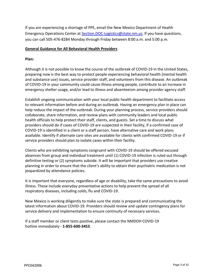If you are experiencing a shortage of PPE, email the New Mexico Department of Health Emergency Operations Center at [Section.DOC-Logistics@state.nm.us.](mailto:Section.DOC-Logistics@state.nm.us) If you have questions, you can call 505-476-8284 Monday through Friday between 8:00 a.m. and 5:00 p.m.

#### **General Guidance for All Behavioral Health Providers**

# **Plan:**

Although it is not possible to know the course of the outbreak of COVID-19 in the United States, preparing now is the best way to protect people experiencing behavioral health (mental health and substance use) issues, service provider staff, and volunteers from this disease. An outbreak of COVID-19 in your community could cause illness among people, contribute to an increase in emergency shelter usage, and/or lead to illness and absenteeism among provider agency staff.

Establish ongoing communication with your local public health department to facilitate access to relevant information before and during an outbreak. Having an emergency plan in place can help reduce the impact of the outbreak. During your planning process, service providers should collaborate, share information, and review plans with community leaders and local public health officials to help protect their staff, clients, and guests. Set a time to discuss what providers should do if cases of COVID-19 are suspected in their facility, if a confirmed case of COVID-19 is identified in a client or a staff person, have alternative care and work plans available. Identify if alternate care sites are available for clients with confirmed COVID-19 or if service providers should plan to isolate cases within their facility.

Clients who are exhibiting symptoms congruent with COVID-19 should be offered excused absences from group and individual treatment until (1) COVID-19 infection is ruled out through definitive testing or (2) symptoms subside. It will be important that providers use creative planning in order to ensure that the client's ability to obtain their psychiatric medication is not jeopardized by attendance policies.

It is important that everyone, regardless of age or disability, take the same precautions to avoid illness. These include everyday preventative actions to help prevent the spread of all respiratory diseases, including colds, flu and COVID-19.

New Mexico is working diligently to make sure the state is prepared and communicating the latest information about COVID-19. Providers should review and update contingency plans for service delivery and implementation to ensure continuity of necessary services.

If a staff member or client tests positive, please contact the NMDOH COVID-19 hotline immediately - **1-855-600-3453**.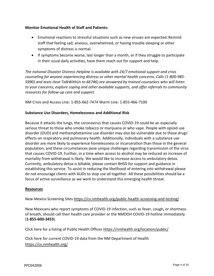# **Monitor Emotional Health of Staff and Patients:**

- Emotional reactions to stressful situations such as new viruses are expected. Remind staff that feeling sad, anxious, overwhelmed, or having trouble sleeping or other symptoms of distress is normal.
- If symptoms become worse, last longer than a month, or if they struggle to participate in their usual daily activities, have them reach out for support and help.

*The national Disaster Distress Helpline is available with 24/7 emotional support and crisis counseling for anyone experiencing distress or other mental health concerns. Calls (1-800-985- 5990) and texts (text TalkWithUs to 66746) are answered by trained counselors who will listen to your concerns, explore coping and other available supports, and offer referrals to community resources for follow-up care and support.*

NM Crisis and Access Line: 1-855-662-7474 Warm Line: 1-855-466-7100

#### **Substance Use Disorders, Homelessness and Additional Risk**

Because it attacks the lungs, the coronavirus that causes COVID-19 could be an especially serious threat to those who smoke tobacco or marijuana or who vape. People with opioid use disorder (OUD) and methamphetamine use disorder may also be vulnerable due to those drugs' effects on respiratory and pulmonary health. Additionally, individuals with a substance use disorder are more likely to experience homelessness or incarceration than those in the general population, and these circumstances pose unique challenges regarding transmission of the virus that causes COVID-19. Further, in a time when access to alcohol may be reduced an increase of mortality from withdrawal is likely. We would like to increase access to ambulatory detox. Currently, ambulatory detox is billable, please contact BHSD for support and guidance in establishing this service. To assist in reducing the likelihood of entering into withdrawal please do not encourage clients with AUDs to stop use all together. All these possibilities should be a focus of active surveillance as we work to understand this emerging health threat.

#### <span id="page-5-0"></span>**Resources**

New Mexico Screening Sites<https://cv.nmhealth.org/public-health-screening-and-testing/>

New Mexicans who report symptoms of COVID-19 infection, such as fever, cough, or shortness of breath, should call their health care provider or the NMDOH COVID-19 hotline immediately (**1-855-600-3453**).

Click here for a listing of Public Health Offices<https://nmhealth.org/location/public/>

Click here for current COVID-19 data from the NM Department of Health <https://cv.nmhealth.org/>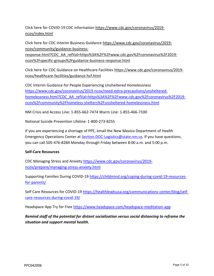Click here for COVID-19 CDC information [https://www.cdc.gov/coronavirus/2019](https://www.cdc.gov/coronavirus/2019-ncov/index.html) [ncov/index.html](https://www.cdc.gov/coronavirus/2019-ncov/index.html)

Click here for CDC Interim Business Guidance [https://www.cdc.gov/coronavirus/2019](https://www.cdc.gov/coronavirus/2019-ncov/community/guidance-business-response.html?CDC_AA_refVal=https%3A%2F%2Fwww.cdc.gov%2Fcoronavirus%2F2019-ncov%2Fspecific-groups%2Fguidance-business-response.html) [ncov/community/guidance-business-](https://www.cdc.gov/coronavirus/2019-ncov/community/guidance-business-response.html?CDC_AA_refVal=https%3A%2F%2Fwww.cdc.gov%2Fcoronavirus%2F2019-ncov%2Fspecific-groups%2Fguidance-business-response.html)

[response.html?CDC\\_AA\\_refVal=https%3A%2F%2Fwww.cdc.gov%2Fcoronavirus%2F2019](https://www.cdc.gov/coronavirus/2019-ncov/community/guidance-business-response.html?CDC_AA_refVal=https%3A%2F%2Fwww.cdc.gov%2Fcoronavirus%2F2019-ncov%2Fspecific-groups%2Fguidance-business-response.html) [ncov%2Fspecific-groups%2Fguidance-business-response.html](https://www.cdc.gov/coronavirus/2019-ncov/community/guidance-business-response.html?CDC_AA_refVal=https%3A%2F%2Fwww.cdc.gov%2Fcoronavirus%2F2019-ncov%2Fspecific-groups%2Fguidance-business-response.html)

Click here for CDC Guidance on Healthcare Facilities [https://www.cdc.gov/coronavirus/2019](https://www.cdc.gov/coronavirus/2019-ncov/healthcare-facilities/guidance-hcf.html) [ncov/healthcare-facilities/guidance-hcf.html](https://www.cdc.gov/coronavirus/2019-ncov/healthcare-facilities/guidance-hcf.html)

CDC Interim Guidance for People Experiencing Unsheltered Homelessness [https://www.cdc.gov/coronavirus/2019-ncov/need-extra-precautions/unsheltered](https://www.cdc.gov/coronavirus/2019-ncov/need-extra-precautions/unsheltered-homelessness.html?CDC_AA_refVal=https%3A%2F%2Fwww.cdc.gov%2Fcoronavirus%2F2019-ncov%2Fcommunity%2Fhomeless-shelters%2Funsheltered-homelessness.html)[homelessness.html?CDC\\_AA\\_refVal=https%3A%2F%2Fwww.cdc.gov%2Fcoronavirus%2F2019](https://www.cdc.gov/coronavirus/2019-ncov/need-extra-precautions/unsheltered-homelessness.html?CDC_AA_refVal=https%3A%2F%2Fwww.cdc.gov%2Fcoronavirus%2F2019-ncov%2Fcommunity%2Fhomeless-shelters%2Funsheltered-homelessness.html) [ncov%2Fcommunity%2Fhomeless-shelters%2Funsheltered-homelessness.html](https://www.cdc.gov/coronavirus/2019-ncov/need-extra-precautions/unsheltered-homelessness.html?CDC_AA_refVal=https%3A%2F%2Fwww.cdc.gov%2Fcoronavirus%2F2019-ncov%2Fcommunity%2Fhomeless-shelters%2Funsheltered-homelessness.html)

NM Crisis and Access Line: 1-855-662-7474 Warm Line: 1-855-466-7100

National Suicide Prevention Lifeline: 1-800-273-8255

If you are experiencing a shortage of PPE, email the New Mexico Department of Health Emergency Operations Center at [Section.DOC-Logistics@state.nm.us.](mailto:Section.DOC-Logistics@state.nm.us) If you have questions, you can call 505-476-8284 Monday through Friday between 8:00 a.m. and 5:00 p.m.

#### <span id="page-6-0"></span>**Self-Care Resources**

CDC Managing Stress and Anxiety [https://www.cdc.gov/coronavirus/2019](https://www.cdc.gov/coronavirus/2019-ncov/prepare/managing-stress-anxiety.html) [ncov/prepare/managing-stress-anxiety.html](https://www.cdc.gov/coronavirus/2019-ncov/prepare/managing-stress-anxiety.html)

Supporting Families During COVID-19 [https://childmind.org/coping-during-covid-19-resources](https://childmind.org/coping-during-covid-19-resources-for-parents/)[for-parents/](https://childmind.org/coping-during-covid-19-resources-for-parents/)

Self Care Resources for COVID-19 [https://healthleadsusa.org/communications-center/blog/self](https://healthleadsusa.org/communications-center/blog/self-care-resources-during-covid-19/)[care-resources-during-covid-19/](https://healthleadsusa.org/communications-center/blog/self-care-resources-during-covid-19/)

Headspace App Try for Free<https://www.headspace.com/headspace-meditation-app>

*Remind staff of the potential for distant socialization versus social distancing to reframe the situation and support mental health.*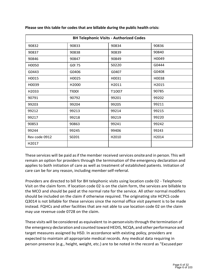| <b>BH Telephonic Visits - Authorized Codes</b> |              |       |       |  |
|------------------------------------------------|--------------|-------|-------|--|
| 90832                                          | 90833        | 90834 | 90836 |  |
| 90837                                          | 90838        | 90839 | 90840 |  |
| 90846                                          | 90847        | 90849 | H0049 |  |
| H0050                                          | G0I 75       | S0220 | G0444 |  |
| G0443                                          | G0406        | G0407 | G0408 |  |
| H0015                                          | H0025        | H0031 | H0038 |  |
| H0039                                          | H2000        | H2011 | H2015 |  |
| H2033                                          | <b>TIOOI</b> | T1007 | 90785 |  |
| 90791                                          | 90792        | 99201 | 99202 |  |
| 99203                                          | 99204        | 99205 | 99211 |  |
| 99212                                          | 99213        | 99214 | 99215 |  |
| 99217                                          | 99218        | 99219 | 99220 |  |
| 90853                                          | 90863        | 99241 | 99242 |  |
| 99244                                          | 99245        | 99406 | 99243 |  |
| Rev code 0912                                  | S0201        | H2010 | H2014 |  |
| H2017                                          |              |       |       |  |

**Please see this table for codes that are billable during the public health crisis:**

These services will be paid asif the member received services onsiteand in person. This will remain an option for providers through the termination of the emergency declaration and applies to both initiation of care as well as treatment of established patients. Initiation of care can be for any reason, including member self-referral.

Providers are directed to bill for BH telephonic visits using location code 02 - Telephonic Visit on the claim form. If location code 02 is on the claim form, the services are billable to the MCO and should be paid at the normal rate for the service. All other normal modifiers should be included on the claim if otherwise required. The originating site HCPCS code Q3014 is not billable for these services since the normal office visit payment is to be made instead. FQHCs and other facilities that are not able to use location code 02 on the claim may use revenue code 0728 on the claim.

These visits will be considered as equivalent to in-personvisitsthrough the termination of the emergency declaration and counted toward HEDIS, NCQA, and other performance and target measures assigned by HSD. In accordance with existing policy, providers are expected to maintain all appropriate medical records. Any medical data requiring in person presence (e.g., height, weight, etc.) are to be noted in the record as "Excused per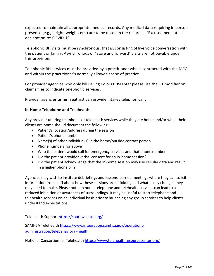expected to maintain all appropriate medical records. Any medical data requiring in person presence (e.g., height, weight, etc.) are to be noted in the record as "Excused per state declaration re: COVID-19".

Telephonic BH visits must be synchronous; that is, consisting of live voice conversation with the patient or family. Asynchronous or "store and forward" visits are not payable under this provision.

Telephonic BH services must be provided by a practitioner who is contracted with the MCO and within the practitioner's normally allowed scope of practice.

For provider agencies who only bill Falling Colors BHSD Star please use the GT modifier on claims files to indicate telephonic services.

Provider agencies using Treatfirst can provide intakes telephonically.

#### **In-Home Telephone and Telehealth**

Any provider utilizing telephonic or telehealth services while they are home and/or while their clients are home should document the following:

- Patient's location/address during the session
- Patient's phone number
- Name(s) of other individual(s) in the home/outside contact person
- Phone numbers for above
- Who the patient would call for emergency services and that phone number
- Did the patient provider verbal consent for an in-home session?
- Did the patient acknowledge that the in-home session may use cellular data and result in a higher phone bill?

Agencies may wish to institute debriefings and lessons learned meetings where they can solicit information from staff about how these sessions are unfolding and what policy changes they may need to make. Please note: in home telephone and telehealth services can lead to a reduced inhibition or awareness of surroundings. It may be useful to start telephone and telehealth services on an individual basis prior to launching any group services to help clients understand expectations.

Telehealth Support<https://southwesttrc.org/>

SAMHSA Telehealth [https://www.integration.samhsa.gov/operations](https://www.integration.samhsa.gov/operations-administration/telebehavioral-health)[administration/telebehavioral-health](https://www.integration.samhsa.gov/operations-administration/telebehavioral-health)

National Consortium of Telehealth<https://www.telehealthresourcecenter.org/>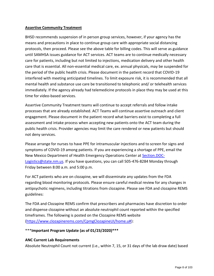# **Assertive Community Treatment**

BHSD recommends suspension of in person group services, however, if your agency has the means and precautions in place to continue group care with appropriate social distancing protocols, then proceed. Please see the above table for billing codes. This will serve as guidance until SAMHSA issues guidance for ACT services. ACT teams are to continue medically necessary care for patients, including but not limited to injections, medication delivery and other health care that is essential. All non-essential medical care, ex. annual physicals, may be suspended for the period of the public health crisis. Please document in the patient record that COVID-19 interfered with meeting anticipated timelines. To limit exposure risk, it is recommended that all mental health and substance use care be transitioned to telephonic and/ or telehealth services immediately. If the agency already had telemedicine protocols in place they may be used at this time for video-based services.

Assertive Community Treatment teams will continue to accept referrals and follow intake processes that are already established. ACT Teams will continue assertive outreach and client engagement. Please document in the patient record what barriers exist to completing a full assessment and intake process when accepting new patients onto the ACT team during the public health crisis. Provider agencies may limit the care rendered or new patients but should not deny services.

Please arrange for nurses to have PPE for intramuscular injections and to screen for signs and symptoms of COVID-19 among patients. If you are experiencing a shortage of PPE, email the New Mexico Department of Health Emergency Operations Center at [Section.DOC-](mailto:Section.DOC-Logistics@state.nm.us)[Logistics@state.nm.us.](mailto:Section.DOC-Logistics@state.nm.us) If you have questions, you can call 505-476-8284 Monday through Friday between 8:00 a.m. and 5:00 p.m.

For ACT patients who are on clozapine, we will disseminate any updates from the FDA regarding blood monitoring protocols. Please ensure careful medical review for any changes in antipsychotic regimens, including titrations from clozapine. Please see FDA and clozapine REMS guidelines:

The FDA and Clozapine REMS confirm that prescribers and pharmacies have discretion to order and dispense clozapine without an absolute neutrophil count reported within the specified timeframes. The following is posted on the Clozapine REMS website [\(https://www.clozapinerems.com/CpmgClozapineUI/home.u#\)](https://protect-us.mimecast.com/s/JKwmC73wZvIzK8MpTWAlXW?domain=urldefense.proofpoint.com):

# \*\*\***Important Program Update (as of 01/23/2020)\*\*\***

# **ANC Current Lab Requirements**

Absolute Neutrophil Count not current (i.e., within 7, 15, or 31 days of the lab draw date) based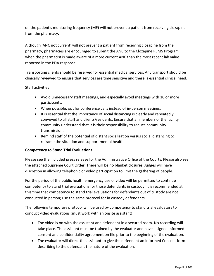on the patient's monitoring frequency (MF) will not prevent a patient from receiving clozapine from the pharmacy.

Although 'ANC not current' will not prevent a patient from receiving clozapine from the pharmacy, pharmacies are encouraged to submit the ANC to the Clozapine REMS Program when the pharmacist is made aware of a more current ANC than the most recent lab value reported in the PDA response.

Transporting clients should be reserved for essential medical services. Any transport should be clinically reviewed to ensure that services are time sensitive and there is essential clinical need.

# Staff activities

- Avoid unnecessary staff meetings, and especially avoid meetings with 10 or more participants.
- When possible, opt for conference calls instead of in-person meetings.
- It is essential that the importance of social distancing is clearly and repeatedly conveyed to all staff and clients/residents. Ensure that all members of the facility community understand that it is their responsibility to reduce community transmission.
- Remind staff of the potential of distant socialization versus social distancing to reframe the situation and support mental health.

# **Competency to Stand Trial Evaluations**

Please see the included press release for the Administrative Office of the Courts. Please also see the attached Supreme Court Order. There will be no blanket closures. Judges will have discretion in allowing telephonic or video participation to limit the gathering of people.

For the period of the public health emergency use of video will be permitted to continue competency to stand trial evaluations for those defendants in custody. It is recommended at this time that competency to stand trial evaluations for defendants out of custody are not conducted in person; use the same protocol for in custody defendants.

The following temporary protocol will be used by competency to stand trial evaluators to conduct video evaluations (must work with an onsite assistant):

- The video is on with the assistant and defendant in a secured room. No recording will take place. The assistant must be trained by the evaluator and have a signed informed consent and confidentiality agreement on file prior to the beginning of the evaluation.
- The evaluator will direct the assistant to give the defendant an Informed Consent form describing to the defendant the nature of the evaluation.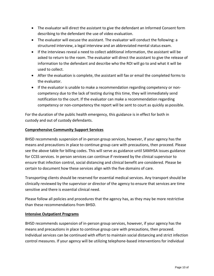- The evaluator will direct the assistant to give the defendant an Informed Consent form describing to the defendant the use of video evaluation.
- The evaluator will excuse the assistant. The evaluator will conduct the following: a structured interview, a legal interview and an abbreviated mental status exam.
- If the interviews reveal a need to collect additional information, the assistant will be asked to return to the room. The evaluator will direct the assistant to give the release of information to the defendant and describe who the ROI will go to and what it will be used to collect.
- After the evaluation is complete, the assistant will fax or email the completed forms to the evaluator.
- If the evaluator is unable to make a recommendation regarding competency or noncompetency due to the lack of testing during this time, they will immediately send notification to the court. If the evaluator can make a recommendation regarding competency or non-competency the report will be sent to court as quickly as possible.

For the duration of the public health emergency, this guidance is in effect for both in custody and out of custody defendants.

# **Comprehensive Community Support Services**

BHSD recommends suspension of in-person group services, however, if your agency has the means and precautions in place to continue group care with precautions, then proceed. Please see the above table for billing codes. This will serve as guidance until SAMHSA issues guidance for CCSS services. In person services can continue if reviewed by the clinical supervisor to ensure that infection control, social distancing and clinical benefit are considered. Please be certain to document how these services align with the five domains of care.

Transporting clients should be reserved for essential medical services. Any transport should be clinically reviewed by the supervisor or director of the agency to ensure that services are time sensitive and there is essential clinical need.

Please follow all policies and procedures that the agency has, as they may be more restrictive than these recommendations from BHSD.

#### <span id="page-11-0"></span>**Intensive Outpatient Programs**

BHSD recommends suspension of in-person group services, however, if your agency has the means and precautions in place to continue group care with precautions, then proceed. Individual services can be continued with effort to maintain social distancing and strict infection control measures. If your agency will be utilizing telephone-based interventions for individual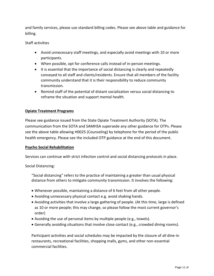and family services, please use standard billing codes. Please see above table and guidance for billing.

# Staff activities

- Avoid unnecessary staff meetings, and especially avoid meetings with 10 or more participants.
- When possible, opt for conference calls instead of in-person meetings.
- It is essential that the importance of social distancing is clearly and repeatedly conveyed to all staff and clients/residents. Ensure that all members of the facility community understand that it is their responsibility to reduce community transmission.
- Remind staff of the potential of distant socialization versus social distancing to reframe the situation and support mental health.

# <span id="page-12-0"></span>**Opiate Treatment Programs**

Please see guidance issued from the State Opiate Treatment Authority (SOTA). The communication from the SOTA and SAMHSA supersede any other guidance for OTPs. Please see the above table allowing H0025 (Counseling) by telephone for the period of the public health emergency. Please see the included OTP guidance at the end of this document.

#### <span id="page-12-1"></span>**Psycho Social Rehabilitation**

Services can continue with strict infection control and social distancing protocols in place.

Social Distancing:

"Social distancing" refers to the practice of maintaining a greater than usual physical distance from others to mitigate community transmission. It involves the following:

- Whenever possible, maintaining a distance of 6 feet from all other people.
- Avoiding unnecessary physical contact e.g. avoid shaking hands.
- Avoiding activities that involve a large gathering of people. (At this time, large is defined as 10 or more people; this may change, so please follow the most current governor's order)
- Avoiding the use of personal items by multiple people (e.g., towels).
- Generally avoiding situations that involve close contact (e.g., crowded dining rooms).

Participant activities and social schedules may be impacted by the closure of all dine-in restaurants, recreational facilities, shopping malls, gyms, and other non-essential commercial facilities.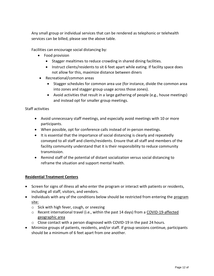Any small group or individual services that can be rendered as telephonic or telehealth services can be billed, please see the above table.

Facilities can encourage social distancing by:

- Food provision
	- Stagger mealtimes to reduce crowding in shared dining facilities.
	- Instruct clients/residents to sit 6 feet apart while eating. If facility space does not allow for this, maximize distance between diners
- Recreational/common areas
	- Stagger schedules for common area use (for instance, divide the common area into zones and stagger group usage across those zones).
	- Avoid activities that result in a large gathering of people (e.g., house meetings) and instead opt for smaller group meetings.

#### Staff activities

- Avoid unnecessary staff meetings, and especially avoid meetings with 10 or more participants.
- When possible, opt for conference calls instead of in-person meetings.
- It is essential that the importance of social distancing is clearly and repeatedly conveyed to all staff and clients/residents. Ensure that all staff and members of the facility community understand that it is their responsibility to reduce community transmission.
- Remind staff of the potential of distant socialization versus social distancing to reframe the situation and support mental health.

#### <span id="page-13-0"></span>**Residential Treatment Centers**

- Screen for signs of illness all who enter the program or interact with patients or residents, including all staff, visitors, and vendors.
- Individuals with any of the conditions below should be restricted from entering the program site:
	- o Sick with high fever, cough, or sneezing
	- $\circ$  Recent international travel (i.e., within the past 14 days) from a [COVID-19-affected](https://www.cdc.gov/coronavirus/2019-nCoV/hcp/clinical-criteria.html) [geographic](https://www.cdc.gov/coronavirus/2019-nCoV/hcp/clinical-criteria.html) area
	- o Close contact with a person diagnosed with COVID-19 in the past 24 hours.
- Minimize groups of patients, residents, and/or staff. If group sessions continue, participants should be a minimum of 6 feet apart from one another.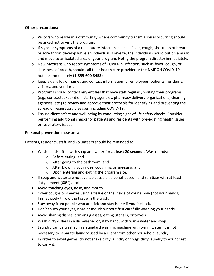# **Other precautions:**

- $\circ$  Visitors who reside in a community where community transmission is occurring should be asked not to visit the program.
- o If signs or symptoms of a respiratory infection, such as fever, cough, shortness of breath, or sore throat develop while an individual is on-site, the individual should put on a mask and move to an isolated area of your program. Notify the program directorimmediately.
- o New Mexicans who report symptoms of COVID-19 infection, such as fever, cough, or shortness of breath, should call their health care provider or the NMDOH COVID-19 hotline immediately (**1-855-600-3453**).
- $\circ$  Keep a daily log of names and contact information for employees, patients, residents, visitors, and vendors.
- $\circ$  Programs should contact any entities that have staff regularly visiting their programs (e.g., contracted/per diem staffing agencies, pharmacy delivery organizations, cleaning agencies, etc.) to review and approve their protocols for identifying and preventing the spread of respiratory diseases, including COVID-19.
- $\circ$  Ensure client safety and well-being by conducting signs of life safety checks. Consider performing additional checks for patients and residents with pre-existing health issues or respiratory issues.

#### **Personal prevention measures:**

Patients, residents, staff, and volunteers should be reminded to:

- Wash hands often with soap and water for **at least 20 seconds**. Wash hands:
	- o Before eating; and
	- o After going to the bathroom; and
	- o After blowing your nose, coughing, or sneezing; and
	- o Upon entering and exiting the program site.
- If soap and water are not available, use an alcohol-based hand sanitizer with at least sixty percent (60%) alcohol.
- Avoid touching eyes, nose, and mouth.
- Cover coughs or sneezes using a tissue or the inside of your elbow (not your hands). Immediately throw the tissue in the trash.
- Stay away from people who are sick and stay home if you feel sick.
- Don't touch your eyes, nose or mouth without first carefully washing your hands.
- Avoid sharing dishes, drinking glasses, eating utensils, or towels.
- Wash dirty dishes in a dishwasher or, if by hand, with warm water and soap.
- Laundry can be washed in a standard washing machine with warm water. It is not necessary to separate laundry used by a client from other household laundry.
- In order to avoid germs, do not shake dirty laundry or "hug" dirty laundry to your chest to carry it.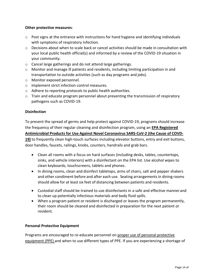# **Other protective measures**:

- $\circ$  Post signs at the entrance with instructions for hand hygiene and identifying individuals with symptoms of respiratory infection.
- o Decisions about when to scale back or cancel activities should be made in consultation with your local public health official(s) and informed by a review of the COVID-19 situation in your community.
- o Cancel large gatherings and do not attend large gatherings.
- $\circ$  Monitor and manage ill patients and residents, including limiting participation in and transportation to outside activities (such as day programs and jobs).
- o Monitor exposed personnel.
- o Implement strict infection control measures.
- o Adhere to reporting protocols to public health authorities.
- $\circ$  Train and educate program personnel about preventing the transmission of respiratory pathogens such as COVID-19.

# **Disinfection**

To prevent the spread of germs and help protect against COVID-19, programs should increase the frequency of their regular cleaning and disinfection program, using an **[EPA Registered](https://www.epa.gov/sites/production/files/2020-03/documents/sars-cov-2-list_03-03-2020.pdf) [Antimicrobial Products for Use Against Novel Coronavirus SARS-CoV-2 \(the Cause of COVD-](https://www.epa.gov/sites/production/files/2020-03/documents/sars-cov-2-list_03-03-2020.pdf)19)** to frequently clean high-touch surfaces including elevator buttons, entry and exit buttons,

door handles, faucets, railings, knobs, counters, handrails and grab bars.

- Clean all rooms with a focus on hard surfaces (including desks, tables, countertops, sinks, and vehicle interiors) with a disinfectant on the EPA list. Use alcohol wipes to clean keyboards, touchscreens, tablets and phones.
- In dining rooms, clean and disinfect tabletops, arms of chairs, salt and pepper shakers and other condiment before and after each use. Seating arrangements in dining rooms should allow for at least six feet of distancing between patients and residents.
- Custodial staff should be trained to use disinfectants in a safe and effective mannerand to clean up potentially infectious materials and body fluid spills.
- When a program patient or resident is discharged or leaves the program permanently, their room should be cleaned and disinfected in preparation for the next patient or resident.

# <span id="page-15-0"></span>**Personal Protective Equipment**

Programs are encouraged to re-educate personnel on [proper use of personal protective](https://www.cdc.gov/hai/pdfs/ppe/ppe-sequence.pdf) [equipment \(PPE\) a](https://www.cdc.gov/hai/pdfs/ppe/ppe-sequence.pdf)nd when to use different types of PPE. If you are experiencing a shortage of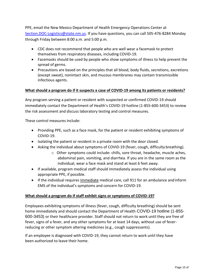PPE, email the New Mexico Department of Health Emergency Operations Center at [Section.DOC-Logistics@state.nm.us.](mailto:Section.DOC-Logistics@state.nm.us) If you have questions, you can call 505-476-8284 Monday through Friday between 8:00 a.m. and 5:00 p.m.

- CDC does not recommend that people who are well wear a facemask to protect themselves from respiratory diseases, including COVID-19.
- Facemasks should be used by people who show symptoms of illness to help prevent the spread of germs.
- Precautions are based on the principles that all blood, body fluids, secretions, excretions (except sweat), nonintact skin, and mucous membranes may contain transmissible infectious agents.

# **What should a program do if it suspects a case of COVID-19 among its patients or residents?**

Any program serving a patient or resident with suspected or confirmed COVID-19 should immediately contact the Department of Health's COVID-19 hotline (1-855-600-3453) to review the risk assessment and discuss laboratory testing and control measures.

These control measures include:

- Providing PPE, such as a face mask, for the patient or resident exhibiting symptoms of COVID-19.
- Isolating the patient or resident in a private room with the door closed.
- Asking the individual about symptoms of COVID-19 (fever, cough, difficulty breathing).
	- o Other symptoms could include: chills, sore throat, headache, muscle aches, abdominal pain, vomiting, and diarrhea. If you are in the same room as the individual, wear a face mask and stand at least 6 feet away.
- If available, program medical staff should immediately assess the individual using appropriate PPE, if possible.
- If the individual requires immediate medical care, call 911 for an ambulance andinform EMS of the individual's symptoms and concern for COVID-19.

# **What should a program do if staff exhibit signs or symptoms of COVID-19?**

Employees exhibiting symptoms of illness (fever, cough, difficulty breathing) should be sent home immediately and should contact the Department of Health COVID-19 hotline (1-855- 600-3453) or their healthcare provider. Staff should not return to work until they are free of fever, signs of a fever, and any other symptoms for at least 14 days, without use of feverreducing or other symptom altering medicines (e.g., cough suppressants).

If an employee is diagnosed with COVID-19, they cannot return to work until they have been authorized to leave their home.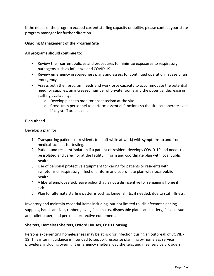If the needs of the program exceed current staffing capacity or ability, please contact your state program manager for further direction.

# **Ongoing Management of the Program Site**

#### **All programs should continue to:**

- Review their current policies and procedures to minimize exposures to respiratory pathogens such as influenza and COVID-19.
- Review emergency preparedness plans and assess for continued operation in case of an emergency.
- Assess both their program needs and workforce capacity to accommodate the potential need for supplies, an increased number of private rooms and the potential decrease in staffing availability.
	- o Develop plans to monitor absenteeism at the site.
	- $\circ$  Cross-train personnel to perform essential functions so the site can operate even if key staff are absent.

#### **Plan Ahead**

Develop a plan for:

- 1. Transporting patients or residents (or staff while at work) with symptoms to and from medical facilities for testing.
- 2. Patient and resident isolation if a patient or resident develops COVID-19 and needs to be isolated and cared for at the facility. Inform and coordinate plan with local public health.
- 3. Use of personal protective equipment for caring for patients or residents with symptoms of respiratory infection. Inform and coordinate plan with local public health.
- 4. A liberal employee sick leave policy that is not a disincentive for remaining home if sick.
- 5. Plan for alternate staffing patterns such as longer shifts, if needed, due to staff illness.

Inventory and maintain essential items including, but not limited to, disinfectant cleaning supplies, hand sanitizer, rubber gloves, face masks, disposable plates and cutlery, facial tissue and toilet paper, and personal protective equipment.

#### **Shelters, Homeless Shelters, Oxford Houses, Crisis Housing**

Persons experiencing homelessness may be at risk for infection during an outbreak of COVID-19. This interim guidance is intended to support response planning by homeless service providers, including overnight emergency shelters, day shelters, and meal service providers.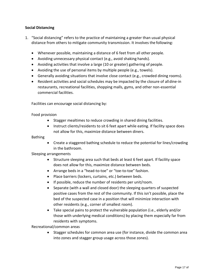# <span id="page-18-0"></span>**Social Distancing**

- 1. "Social distancing" refers to the practice of maintaining a greater than usual physical distance from others to mitigate community transmission. It involves the following:
	- Whenever possible, maintaining a distance of 6 feet from all other people.
	- Avoiding unnecessary physical contact (e.g., avoid shaking hands).
	- Avoiding activities that involve a large (10 or greater) gathering of people.
	- Avoiding the use of personal items by multiple people (e.g., towels).
	- Generally avoiding situations that involve close contact (e.g., crowded dining rooms).
	- Resident activities and social schedules may be impacted by the closure of alldine-in restaurants, recreational facilities, shopping malls, gyms, and other non-essential commercial facilities.

Facilities can encourage social distancing by:

#### Food provision

- Stagger mealtimes to reduce crowding in shared dining facilities.
- Instruct clients/residents to sit 6 feet apart while eating. If facility space does not allow for this, maximize distance between diners.

#### Bathing

 Create a staggered bathing schedule to reduce the potential for lines/crowding in the bathroom.

#### Sleeping arrangements

- Structure sleeping area such that beds at least 6 feet apart. If facility space does not allow for this, maximize distance between beds.
- Arrange beds in a "head-to-toe" or "toe-to-toe" fashion.
- Place barriers (lockers, curtains, etc.) between beds.
- If possible, reduce the number of residents per unit/room.
- Separate (with a wall and closed door) the sleeping quarters of suspected positive cases from the rest of the community. If this isn't possible, place the bed of the suspected case in a position that will minimize interaction with other residents (e.g., corner of smallest room).
- Take special pains to protect the vulnerable population (i.e., elderly and/or those with underlying medical conditions) by placing them especially far from residents with symptoms.

Recreational/common areas

 Stagger schedules for common area use (for instance, divide the common area into zones and stagger group usage across those zones).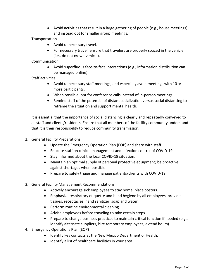Avoid activities that result in a large gathering of people (e.g., house meetings) and instead opt for smaller group meetings.

# **Transportation**

- Avoid unnecessary travel.
- For necessary travel, ensure that travelers are properly spaced in the vehicle (i.e., do not crowd vehicle).

# Communication

 Avoid superfluous face-to-face interactions (e.g., information distribution can be managed online).

# Staff activities

- Avoid unnecessary staff meetings, and especially avoid meetings with 10 or more participants.
- When possible, opt for conference calls instead of in-person meetings.
- Remind staff of the potential of distant socialization versus social distancing to reframe the situation and support mental health.

It is essential that the importance of social distancing is clearly and repeatedly conveyed to all staff and clients/residents. Ensure that all members of the facility community understand that it is their responsibility to reduce community transmission.

- 2. General Facility Preparations
	- Update the Emergency Operation Plan (EOP) and share with staff.
	- Educate staff on clinical management and infection control of COVID-19.
	- Stay informed about the local COVID-19 situation.
	- Maintain an optimal supply of personal protective equipment; be proactive against shortages when possible.
	- Prepare to safely triage and manage patients/clients with COVID-19.
- 3. General Facility Management Recommendations
	- Actively encourage sick employees to stay home, place posters.
	- Emphasize respiratory etiquette and hand hygiene by all employees, provide tissues, receptacles, hand sanitizer, soap and water.
	- Perform routine environmental cleaning.
	- Advise employees before traveling to take certain steps.
	- Prepare to change business practices to maintain critical function if needed (e.g., identify alternate suppliers, hire temporary employees, extend hours).
- 4. Emergency Operations Plan (EOP)
	- Identify key contacts at the New Mexico Department of Health.
	- Identify a list of healthcare facilities in your area.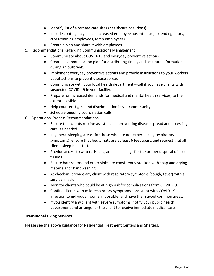- Identify list of alternate care sites (healthcare coalitions).
- Include contingency plans (increased employee absenteeism, extending hours, cross-training employees, temp employees).
- Create a plan and share it with employees.
- 5. Recommendations Regarding Communications Management
	- Communicate about COVID-19 and everyday preventive actions.
	- Create a communication plan for distributing timely and accurate information during an outbreak.
	- Implement everyday preventive actions and provide instructions to your workers about actions to prevent disease spread.
	- Communicate with your local health department call if you have clients with suspected COVID-19 in your facility.
	- Prepare for increased demands for medical and mental health services, to the extent possible.
	- Help counter stigma and discrimination in your community.
	- Schedule ongoing coordination calls.
- 6. Operational Process Recommendations
	- Ensure that clients receive assistance in preventing disease spread and accessing care, as needed.
	- In general sleeping areas (for those who are not experiencing respiratory symptoms), ensure that beds/mats are at least 6 feet apart, and request that all clients sleep head-to-toe.
	- Provide access to water, tissues, and plastic bags for the proper disposal of used tissues.
	- Ensure bathrooms and other sinks are consistently stocked with soap and drying materials for handwashing.
	- At check-in, provide any client with respiratory symptoms (cough, fever) with a surgical mask.
	- Monitor clients who could be at high risk for complications from COVID-19.
	- Confine clients with mild respiratory symptoms consistent with COVID-19 infection to individual rooms, if possible, and have them avoid common areas.
	- If you identify any client with severe symptoms, notify your public health department and arrange for the client to receive immediate medical care.

#### <span id="page-20-0"></span>**Transitional Living Services**

Please see the above guidance for Residential Treatment Centers and Shelters.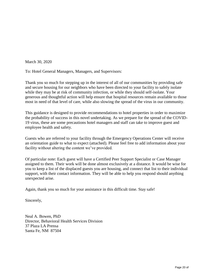March 30, 2020

To: Hotel General Managers, Managers, and Supervisors:

Thank you so much for stepping up in the interest of all of our communities by providing safe and secure housing for our neighbors who have been directed to your facility to safely isolate while they may be at risk of community infection, or while they should self-isolate. Your generous and thoughtful action will help ensure that hospital resources remain available to those most in need of that level of care, while also slowing the spread of the virus in our community.

This guidance is designed to provide recommendations to hotel properties in order to maximize the probability of success in this novel undertaking. As we prepare for the spread of the COVID-19 virus, these are some precautions hotel managers and staff can take to improve guest and employee health and safety.

Guests who are referred to your facility through the Emergency Operations Center will receive an orientation guide to what to expect (attached). Please feel free to add information about your facility without altering the content we've provided.

Of particular note: Each guest will have a Certified Peer Support Specialist or Case Manager assigned to them. Their work will be done almost exclusively at a distance. It would be wise for you to keep a list of the displaced guests you are housing, and connect that list to their individual support, with their contact information. They will be able to help you respond should anything unexpected arise.

Again, thank you so much for your assistance in this difficult time. Stay safe!

Sincerely,

Neal A. Bowen, PhD Director, Behavioral Health Services Division 37 Plaza LA Prensa Santa Fe, NM 87504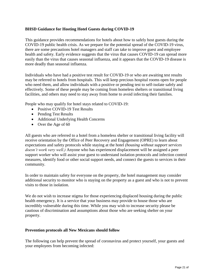# **BHSD Guidance for Hosting Hotel Guests during COVID-19**

This guidance provides recommendations for hotels about how to safely host guests during the COVID-19 public health crisis. As we prepare for the potential spread of the COVID-19 virus, there are some precautions hotel managers and staff can take to improve guest and employee health and safety. Early evidence suggests that the virus that causes COVID-19 can spread more easily than the virus that causes seasonal influenza, and it appears that the COVID-19 disease is more deadly than seasonal influenza.

Individuals who have had a positive test result for COVID-19 or who are awaiting test results may be referred to hotels from hospitals. This will keep precious hospital rooms open for people who need them, and allow individuals with a positive or pending test to self-isolate safely and effectively. Some of these people may be coming from homeless shelters or transitional living facilities, and others may need to stay away from home to avoid infecting their families.

People who may qualify for hotel stays related to COVID-19:

- Positive COVID-19 Test Results
- Pending Test Results
- Additional Underlying Health Concerns
- Over the Age of 60

All guests who are referred to a hotel from a homeless shelter or transitional living facility will receive orientation by the Office of Peer Recovery and Engagement (OPRE) to learn about expectations and safety protocols while staying at the hotel *(housing without support services doesn't work very well.)* Anyone who has experienced displacement will be assigned a peer support worker who will assist your guest to understand isolation protocols and infection control measures, identify food or other social support needs, and connect the guests to services in their community.

In order to maintain safety for everyone on the property, the hotel management may consider additional security to monitor who is staying on the property as a guest and who is not to prevent visits to those in isolation.

We do not wish to increase stigma for those experiencing displaced housing during the public health emergency. It is a service that your business may provide to house those who are incredibly vulnerable during this time. While you may wish to increase security please be cautious of discrimination and assumptions about those who are seeking shelter on your property.

#### **Prevention protocols all New Mexicans should follow**

The following can help prevent the spread of coronavirus and protect yourself, your guests and your employees from becoming infected: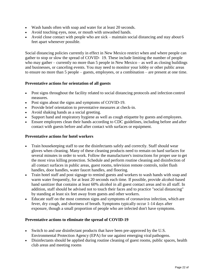- Wash hands often with soap and water for at least 20 seconds.
- Avoid touching eyes, nose, or mouth with unwashed hands.
- Avoid close contact with people who are sick maintain social distancing and stay about 6 feet apart whenever possible.

Social distancing policies currently in effect in New Mexico restrict when and where people can gather to stop or slow the spread of COVID‐ 19. These include limiting the number of people who may gather – currently no more than 5 people in New Mexico – as well as closing buildings and businesses, or canceling events. You may need to monitor your lobby or other public areas to ensure no more than 5 people – guests, employees, or a combination – are present at one time.

# **Preventative actions for orientation of all guests**

- Post signs throughout the facility related to social distancing protocols and infection control measures.
- Post signs about the signs and symptoms of COVID-19.
- Provide brief orientation to preventative measures at check-in.
- Avoid shaking hands as a social greeting.
- Support hand and respiratory hygiene as well as cough etiquette by guests and employees.
- Ensure employees clean their hands according to CDC guidelines, including before and after contact with guests before and after contact with surfaces or equipment.

# **Preventative actions for hotel workers**

- Train housekeeping staff to use the disinfectants safely and correctly. Staff should wear gloves when cleaning. Many of these cleaning products need to remain on hard surfaces for several minutes in order to work. Follow the manufacturer's instructions for proper use to get the most virus killing protection. Schedule and perform routine cleaning and disinfection of all contact surfaces in public areas, guest rooms, television remote controls, toilet flush handles, door handles, water faucet handles, and flooring.
- Train hotel staff and post signage to remind guests and workers to wash hands with soap and warm water frequently, for at least 20 seconds each time. If possible, provide alcohol-based hand sanitizer that contains at least 60% alcohol in all guest contact areas and to all staff. In addition, staff should be advised not to touch their faces and to practice "social distancing" by standing at least six feet away from guests and other workers.
- Educate staff on the most common signs and symptoms of coronavirus infection, which are fever, dry cough, and shortness of breath. Symptoms typically occur 1-14 days after exposure, though a small proportion of people who are infected don't have symptoms.

#### **Preventative actions to eliminate the spread of COVID-19**

- Switch to and use disinfectant products that have been pre-approved by the U.S. Environmental Protection Agency (EPA) for use against emerging viral pathogens.
- Disinfectants should be applied during routine cleaning of guest rooms, public spaces, health club areas and meeting rooms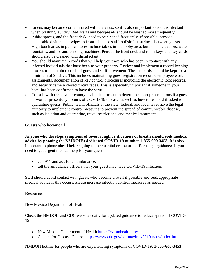- Linens may become contaminated with the virus, so it is also important to add disinfectant when washing laundry. Bed scarfs and bedspreads should be washed more frequently.
- Public spaces, and the front desk, need to be cleaned frequently. If possible, provide disposable disinfectant wipes to front-of-house staff to disinfect surfaces between guests. High touch areas in public spaces include tables in the lobby area, buttons on elevators, water fountains, and ice and vending machines. Pens at the front desk and room keys and key cards should also be cleaned with disinfectant.
- You should maintain records that will help you trace who has been in contact with any infected individuals that have been to your property. Review and implement a record keeping process to maintain records of guest and staff movement. These records should be kept for a minimum of 90 days. This includes maintaining guest registration records, employee work assignments, documentation of key control procedures including the electronic lock records, and security camera closed circuit tapes. This is especially important if someone in your hotel has been confirmed to have the virus.
- Consult with the local or county health department to determine appropriate actions if a guest or worker presents symptoms of COVID-19 disease, as well as how to respond if asked to quarantine guests. Public health officials at the state, federal, and local level have the legal authority to implement control measures to prevent the spread of communicable disease, such as isolation and quarantine, travel restrictions, and medical treatment.

# **Guests who become ill**

**Anyone who develops symptoms of fever, cough or shortness of breath should seek medical advice by phoning the NMDOH's dedicated COVID-19 number 1-855-600-3453.** It is also important to phone ahead before going to the hospital or doctor's office to get guidance. If you need to get urgent medical help for your guest:

- call 911 and ask for an ambulance.
- tell the ambulance officers that your guest may have COVID-19 infection.

Staff should avoid contact with guests who become unwell if possible and seek appropriate medical advice if this occurs. Please increase infection control measures as needed.

#### **Resources**

#### New Mexico Department of Health

Check the NMDOH and CDC websites daily for updated guidance to reduce spread of COVID-19.

- New Mexico Department of Health <https://cv.nmhealth.org/>
- Centers for Disease Control <https://www.cdc.gov/coronavirus/2019-ncov/index.html>

NMDOH hotline for people who are experiencing symptoms of COVID-19: **1-855-600-3453**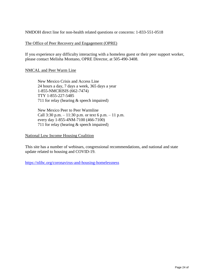NMDOH direct line for non-health related questions or concerns: 1-833-551-0518

#### The Office of Peer Recovery and Engagement (OPRE)

If you experience any difficulty interacting with a homeless guest or their peer support worker, please contact Melisha Montano, OPRE Director, at 505-490-3408.

# NMCAL and Peer Warm Line

New Mexico Crisis and Access Line 24 hours a day, 7 days a week, 365 days a year 1-855-NMCRISIS (662-7474) TTY 1-855-227-5485 711 for relay (hearing & speech impaired)

New Mexico Peer to Peer Warmline Call  $3:30$  p.m.  $-11:30$  p.m. or text 6 p.m.  $-11$  p.m. every day 1-855-4NM-7100 (466-7100) 711 for relay (hearing & speech impaired)

National Low Income Housing Coalition

This site has a number of webinars, congressional recommendations, and national and state update related to housing and COVID-19.

<https://nlihc.org/coronavirus-and-housing-homelessness>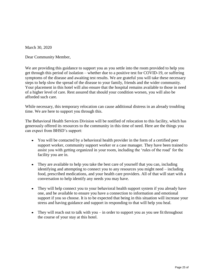March 30, 2020

Dear Community Member,

We are providing this guidance to support you as you settle into the room provided to help you get through this period of isolation – whether due to a positive test for COVID-19, or suffering symptoms of the disease and awaiting test results. We are grateful you will take these necessary steps to help slow the spread of the disease to your family, friends and the wider community. Your placement in this hotel will also ensure that the hospital remains available to those in need of a higher level of care. Rest assured that should your condition worsen, you will also be afforded such care.

While necessary, this temporary relocation can cause additional distress in an already troubling time. We are here to support you through this.

The Behavioral Health Services Division will be notified of relocation to this facility, which has generously offered its resources to the community in this time of need. Here are the things you can expect from BHSD's support:

- You will be contacted by a behavioral health provider in the form of a certified peer support worker, community support worker or a case manager. They have been trained to assist you with getting organized in your room, including the 'rules of the road' for the facility you are in.
- They are available to help you take the best care of yourself that you can, including identifying and attempting to connect you to any resources you might need – including food, prescribed medications, and your health care providers. All of that will start with a conversation to help identify any needs you may have.
- They will help connect you to your behavioral health support system if you already have one, and be available to ensure you have a connection to information and emotional support if you so choose. It is to be expected that being in this situation will increase your stress and having guidance and support in responding to that will help you heal.
- They will reach out to talk with you in order to support you as you see fit throughout the course of your stay at this hotel.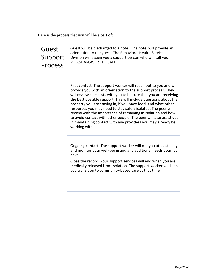Here is the process that you will be a part of:

# Guest Support Process

Guest will be discharged to a hotel. The hotel will provide an orientation to the guest. The Behavioral Health Services Division will assign you a support person who will call you. PLEASE ANSWER THE CALL.

First contact: The support worker will reach out to you and will provide you with an orientation to the support process. They will review checklists with you to be sure that you are receiving the best possible support. This will include questions about the property you are staying in, if you have food, and what other resources you may need to stay safely isolated. The peer will review with the importance of remaining in isolation and how to avoid contact with other people. The peer will also assist you in maintaining contact with any providers you may already be working with.

Ongoing contact: The support worker will call you at least daily and monitor your well-being and any additional needs youmay have.

Close the record: Your support services will end when you are medically released from isolation. The support worker will help you transition to community-based care at that time.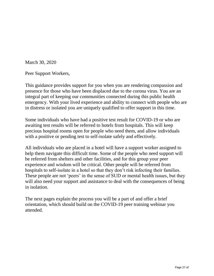March 30, 2020

Peer Support Workers,

This guidance provides support for you when you are rendering compassion and presence for those who have been displaced due to the corona virus. You are an integral part of keeping our communities connected during this public health emergency. With your lived experience and ability to connect with people who are in distress or isolated you are uniquely qualified to offer support in this time.

Some individuals who have had a positive test result for COVID-19 or who are awaiting test results will be referred to hotels from hospitals. This will keep precious hospital rooms open for people who need them, and allow individuals with a positive or pending test to self-isolate safely and effectively.

All individuals who are placed in a hotel will have a support worker assigned to help them navigate this difficult time. Some of the people who need support will be referred from shelters and other facilities, and for this group your peer experience and wisdom will be critical. Other people will be referred from hospitals to self-isolate in a hotel so that they don't risk infecting their families. These people are not 'peers' in the sense of SUD or mental health issues, but they will also need your support and assistance to deal with the consequences of being in isolation.

The next pages explain the process you will be a part of and offer a brief orientation, which should build on the COVID-19 peer training webinar you attended.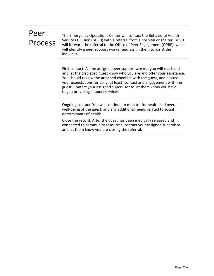# Peer Process

The Emergency Operations Center will contact the Behavioral Health Services Division (BHSD) with a referral from a hospital or shelter. BHSD will forward the referral to the Office of Peer Engagement (OPRE), which will identify a peer support worker and assign them to assist the individual.

First contact: As the assigned peer support worker, you will reach out and let the displaced guest know who you are and offer your assistance. You should review the attached checklist with the guest, and discuss your expectations for daily (at least) contact and engagement with the guest. Contact your assigned supervisor to let them know you have begun providing support services.

Ongoing contact: You will continue to monitor for health and overall well-being of the guest, and any additional needs related to social determinants of health.

Close the record: After the guest has been medically released and connected to community resources, contact your assigned supervisor and let them know you are closing the referral.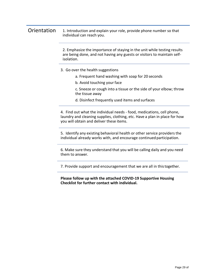# Orientation 1. Introduction and explain your role, provide phone number so that individual can reach you.

2. Emphasize the importance of staying in the unit while testing results are being done, and not having any guests or visitors to maintain selfisolation.

- 3. Go over the health suggestions
	- a. Frequent hand washing with soap for 20 seconds
	- b. Avoid touching your face
	- c. Sneeze or cough into a tissue or the side of your elbow; throw the tissue away
	- d. Disinfect frequently used items and surfaces

4. Find out what the individual needs - food, medications, cell phone, laundry and cleaning supplies, clothing, etc. Have a plan in place for how you will obtain and deliver these items.

5. Identify any existing behavioral health or other service providers the individual already works with, and encourage continued participation.

6. Make sure they understand that you will be calling daily and you need them to answer.

7. Provide support and encouragement that we are all in thistogether.

**Please follow up with the attached COVID-19 Supportive Housing Checklist for further contact with individual.**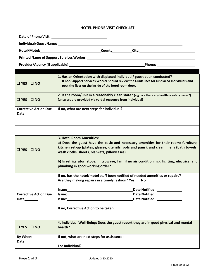#### **HOTEL PHONE VISIT CHECKLIST**

|                                               | Hotel/Motel: County: City: City:                                                                                                                                                                                                                                                                                                                                                                |  |  |  |
|-----------------------------------------------|-------------------------------------------------------------------------------------------------------------------------------------------------------------------------------------------------------------------------------------------------------------------------------------------------------------------------------------------------------------------------------------------------|--|--|--|
|                                               |                                                                                                                                                                                                                                                                                                                                                                                                 |  |  |  |
|                                               | Provider/Agency (If applicable): Manual Communication of Phone: Manual Communication of Phone:                                                                                                                                                                                                                                                                                                  |  |  |  |
|                                               |                                                                                                                                                                                                                                                                                                                                                                                                 |  |  |  |
| $\Box$ YES $\Box$ NO                          | 1. Has an Orientation with displaced individual/ guest been conducted?<br>If not, Support Services Worker should review the Guidelines for Displaced Individuals and<br>post the flyer on the inside of the hotel room door.                                                                                                                                                                    |  |  |  |
| $\Box$ YES $\Box$ NO                          | 2. Is the room/unit in a reasonably clean state? (e.g., are there any health or safety issues?)<br>(answers are provided via verbal response from individual)                                                                                                                                                                                                                                   |  |  |  |
| <b>Corrective Action Due</b><br>Date $\_\_$   | If no, what are next steps for individual?                                                                                                                                                                                                                                                                                                                                                      |  |  |  |
|                                               |                                                                                                                                                                                                                                                                                                                                                                                                 |  |  |  |
| $\Box$ YES $\Box$ NO                          | 3. Hotel Room Amenities:<br>a) Does the guest have the basic and necessary amenities for their room: furniture,<br>kitchen set-up (plates, glasses, utensils, pots and pans); and clean linens (bath towels,<br>wash cloths, sheets, blankets, pillowcases).<br>b) Is refrigerator, stove, microwave, fan (if no air conditioning), lighting, electrical and<br>plumbing in good working order? |  |  |  |
|                                               | If no, has the hotel/motel staff been notified of needed amenities or repairs?<br>Are they making repairs in a timely fashion? Yes___ No___                                                                                                                                                                                                                                                     |  |  |  |
|                                               | Date Notified:<br>lssue:                                                                                                                                                                                                                                                                                                                                                                        |  |  |  |
| <b>Corrective Action Due</b><br>Date_________ | Date Notified: ______________                                                                                                                                                                                                                                                                                                                                                                   |  |  |  |
|                                               | If no, Corrective Action to be taken:                                                                                                                                                                                                                                                                                                                                                           |  |  |  |
| $\Box$ YES $\Box$ NO                          | 4. Individual Well-Being: Does the guest report they are in good physical and mental<br>health?                                                                                                                                                                                                                                                                                                 |  |  |  |
| By When:                                      | If not, what are next steps for assistance:                                                                                                                                                                                                                                                                                                                                                     |  |  |  |
| Date________                                  | For Individual?                                                                                                                                                                                                                                                                                                                                                                                 |  |  |  |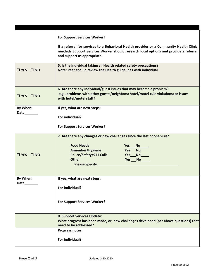|                      | <b>For Support Services Worker?</b><br>If a referral for services to a Behavioral Health provider or a Community Health Clinic<br>needed? Support Services Worker should research local options and provide a referral<br>and support as appropriate. |
|----------------------|-------------------------------------------------------------------------------------------------------------------------------------------------------------------------------------------------------------------------------------------------------|
|                      |                                                                                                                                                                                                                                                       |
| $\Box$ YES $\Box$ NO | 5. Is the individual taking all Health related safety precautions?<br>Note: Peer should review the Health guidelines with individual.                                                                                                                 |
| $\Box$ YES $\Box$ NO | 6. Are there any individual/guest issues that may become a problem?<br>e.g., problems with other guests/neighbors; hotel/motel rule violations; or issues<br>with hotel/motel staff?                                                                  |
| By When:             | If yes, what are next steps:                                                                                                                                                                                                                          |
| Date_______          | For individual?                                                                                                                                                                                                                                       |
|                      | <b>For Support Services Worker?</b>                                                                                                                                                                                                                   |
| $\Box$ YES $\Box$ NO | 7. Are there any changes or new challenges since the last phone visit?<br><b>Food Needs</b><br>$Yes$ No $\_\_$<br><b>Amenities/Hygiene</b><br>Yes__No____<br>Police/Safety/911 Calls<br><b>Other</b><br>Yes___No_____<br><b>Please Specify _</b>      |
| By When:             | If yes, what are next steps:                                                                                                                                                                                                                          |
|                      | For individual?                                                                                                                                                                                                                                       |
|                      | <b>For Support Services Worker?</b>                                                                                                                                                                                                                   |
|                      | 8. Support Services Update:                                                                                                                                                                                                                           |
|                      | What progress has been made, or, new challenges developed (per above questions) that<br>need to be addressed?                                                                                                                                         |
|                      | <b>Progress notes:</b>                                                                                                                                                                                                                                |
|                      |                                                                                                                                                                                                                                                       |
|                      | For individual?                                                                                                                                                                                                                                       |